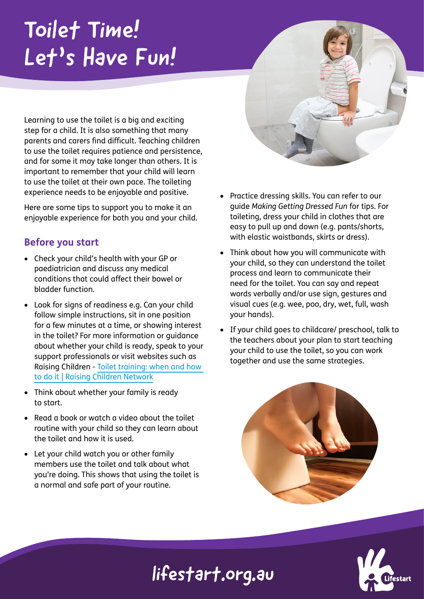# Toilet Time! Let's Have Fun!

Learning to use the toilet is a big and exciting step for a child. It is also something that many parents and carers find difficult. Teaching children to use the toilet requires patience and persistence, and for some it may take longer than others. It is important to remember that your child will learn to use the toilet at their own pace. The toileting experience needs to be enjoyable and positive.

Here are some tips to support you to make it an enjoyable experience for both you and your child.

### **Before you start**

- Check your child's health with your GP or paediatrician and discuss any medical conditions that could affect their bowel or bladder function.
- Look for signs of readiness e.g. Can your child follow simple instructions, sit in one position for a few minutes at a time, or showing interest in the toilet? For more information or guidance about whether your child is ready, speak to your support professionals or visit websites such as Raising Children - [Toilet training: when and how](https://raisingchildren.net.au/preschoolers/health-daily-care/toileting/toilet-training-guide)  [to do it | Raising Children Network](https://raisingchildren.net.au/preschoolers/health-daily-care/toileting/toilet-training-guide)
- Think about whether your family is ready to start.
- Read a book or watch a video about the toilet routine with your child so they can learn about the toilet and how it is used.
- Let your child watch you or other family members use the toilet and talk about what you're doing. This shows that using the toilet is a normal and safe part of your routine.
- Practice dressing skills. You can refer to our guide *Making Getting Dressed Fun* for tips. For toileting, dress your child in clothes that are easy to pull up and down (e.g. pants/shorts, with elastic waistbands, skirts or dress).
- Think about how you will communicate with your child, so they can understand the toilet process and learn to communicate their need for the toilet. You can say and repeat words verbally and/or use sign, gestures and visual cues (e.g. wee, poo, dry, wet, full, wash your hands).
- If your child goes to childcare/ preschool, talk to the teachers about your plan to start teaching your child to use the toilet, so you can work together and use the same strategies.





## lifestart.org.au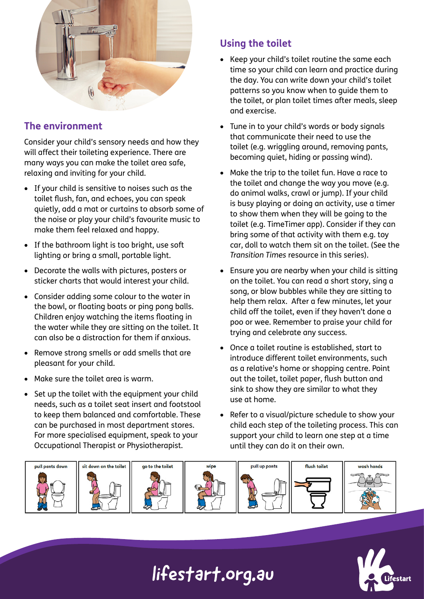

### **The environment**

Consider your child's sensory needs and how they will affect their toileting experience. There are many ways you can make the toilet area safe, relaxing and inviting for your child.

- If your child is sensitive to noises such as the toilet flush, fan, and echoes, you can speak quietly, add a mat or curtains to absorb some of the noise or play your child's favourite music to make them feel relaxed and happy.
- If the bathroom light is too bright, use soft lighting or bring a small, portable light.
- Decorate the walls with pictures, posters or sticker charts that would interest your child.
- Consider adding some colour to the water in the bowl, or floating boats or ping pong balls. Children enjoy watching the items floating in the water while they are sitting on the toilet. It can also be a distraction for them if anxious.
- Remove strong smells or add smells that are pleasant for your child.
- Make sure the toilet area is warm.
- Set up the toilet with the equipment your child needs, such as a toilet seat insert and footstool to keep them balanced and comfortable. These can be purchased in most department stores. For more specialised equipment, speak to your Occupational Therapist or Physiotherapist.

### **Using the toilet**

- Keep your child's toilet routine the same each time so your child can learn and practice during the day. You can write down your child's toilet patterns so you know when to guide them to the toilet, or plan toilet times after meals, sleep and exercise.
- Tune in to your child's words or body signals that communicate their need to use the toilet (e.g. wriggling around, removing pants, becoming quiet, hiding or passing wind).
- Make the trip to the toilet fun. Have a race to the toilet and change the way you move (e.g. do animal walks, crawl or jump). If your child is busy playing or doing an activity, use a timer to show them when they will be going to the toilet (e.g. TimeTimer app). Consider if they can bring some of that activity with them e.g. toy car, doll to watch them sit on the toilet. (See the *Transition Times* resource in this series).
- Ensure you are nearby when your child is sitting on the toilet. You can read a short story, sing a song, or blow bubbles while they are sitting to help them relax. After a few minutes, let your child off the toilet, even if they haven't done a poo or wee. Remember to praise your child for trying and celebrate any success.
- Once a toilet routine is established, start to introduce different toilet environments, such as a relative's home or shopping centre. Point out the toilet, toilet paper, flush button and sink to show they are similar to what they use at home.
- Refer to a visual/picture schedule to show your child each step of the toileting process. This can support your child to learn one step at a time until they can do it on their own.





# lifestart.org.au